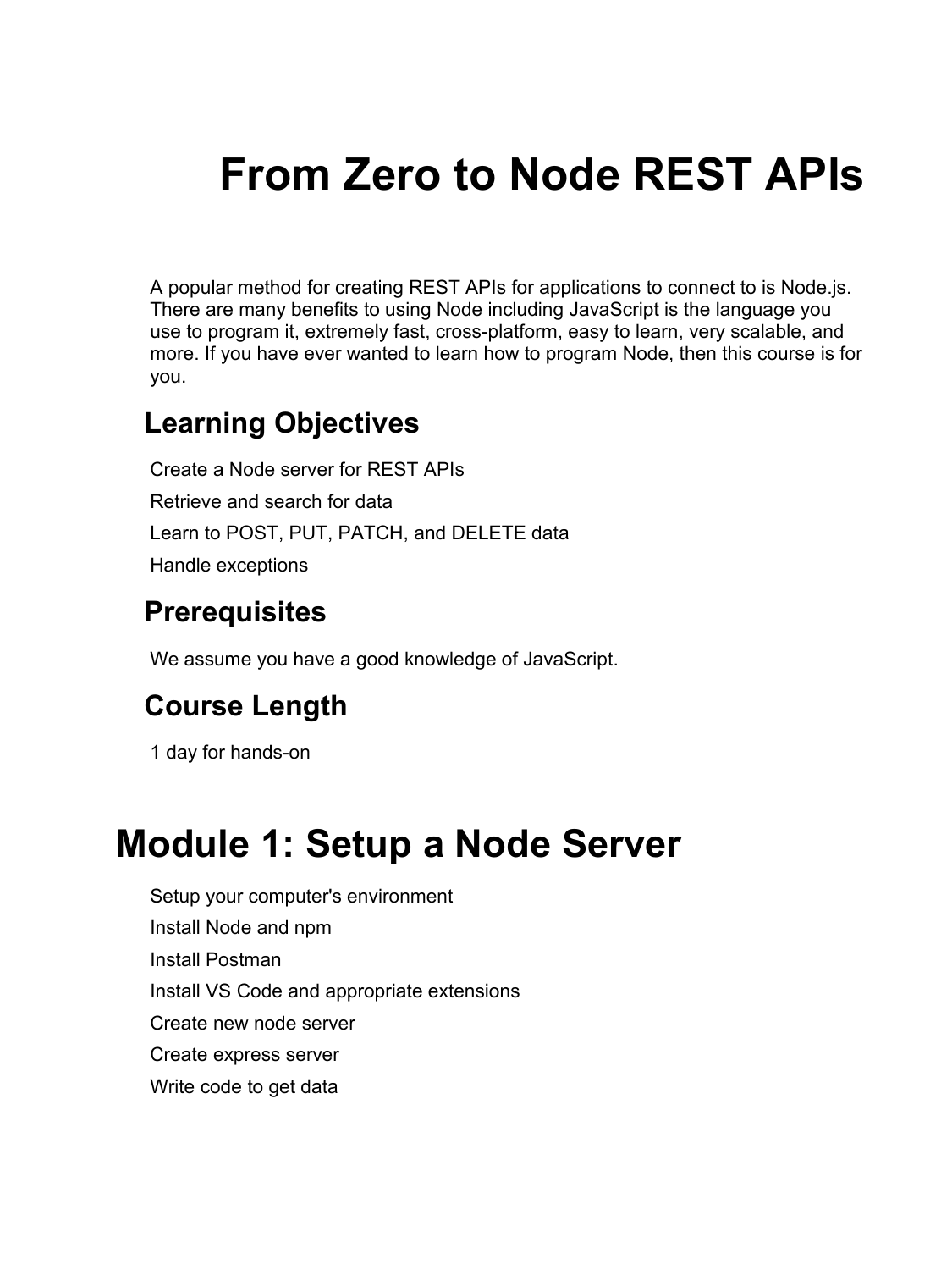# **From Zero to Node REST APIs**

A popular method for creating REST APIs for applications to connect to is Node.js. There are many benefits to using Node including JavaScript is the language you use to program it, extremely fast, cross-platform, easy to learn, very scalable, and more. If you have ever wanted to learn how to program Node, then this course is for you.

#### **Learning Objectives**

Create a Node server for REST APIs Retrieve and search for data Learn to POST, PUT, PATCH, and DELETE data Handle exceptions

#### **Prerequisites**

We assume you have a good knowledge of JavaScript.

#### **Course Length**

1 day for hands-on

### **Module 1: Setup a Node Server**

Setup your computer's environment Install Node and npm Install Postman Install VS Code and appropriate extensions Create new node server Create express server Write code to get data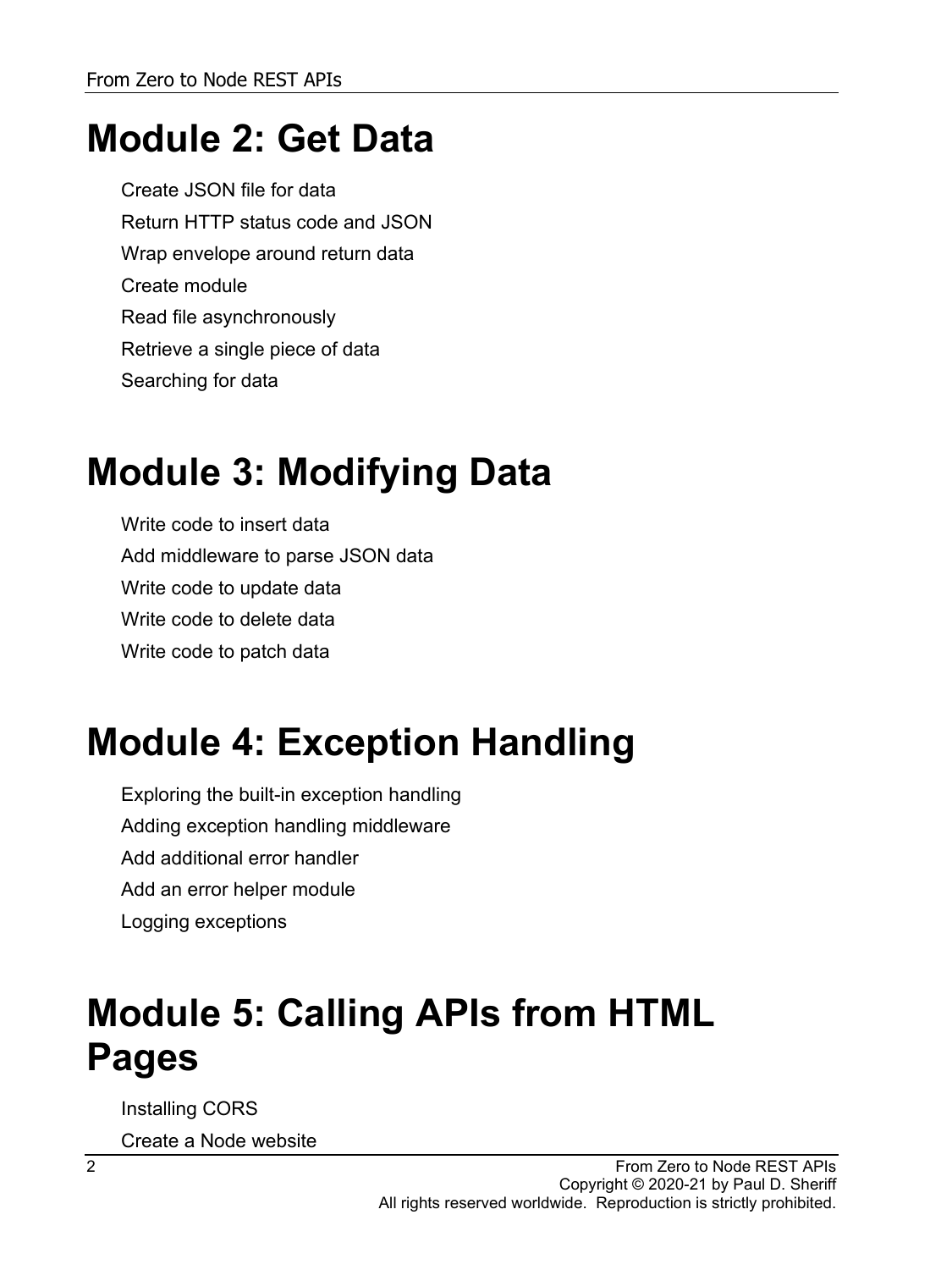### **Module 2: Get Data**

Create JSON file for data Return HTTP status code and JSON Wrap envelope around return data Create module Read file asynchronously Retrieve a single piece of data Searching for data

### **Module 3: Modifying Data**

Write code to insert data Add middleware to parse JSON data Write code to update data Write code to delete data Write code to patch data

## **Module 4: Exception Handling**

Exploring the built-in exception handling Adding exception handling middleware Add additional error handler Add an error helper module Logging exceptions

### **Module 5: Calling APIs from HTML Pages**

Installing CORS

Create a Node website